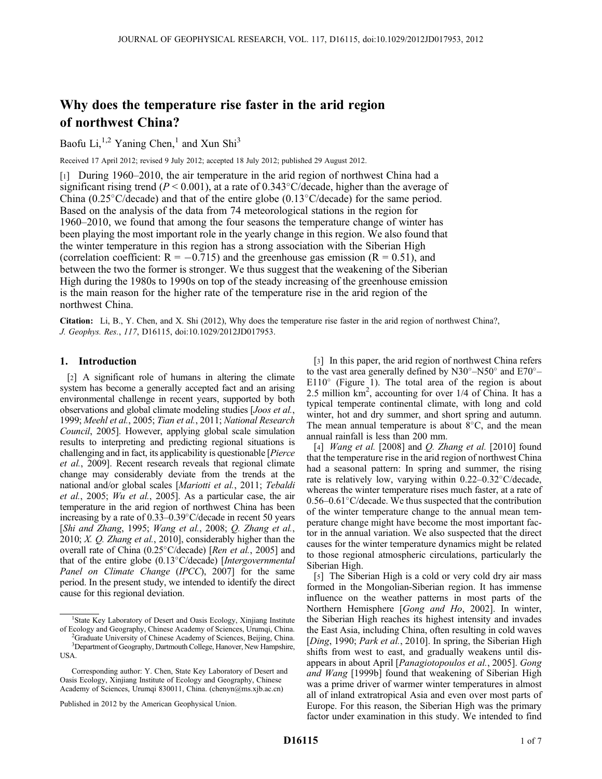# Why does the temperature rise faster in the arid region of northwest China?

Baofu Li,<sup>1,2</sup> Yaning Chen,<sup>1</sup> and Xun Shi<sup>3</sup>

Received 17 April 2012; revised 9 July 2012; accepted 18 July 2012; published 29 August 2012.

[1] During 1960–2010, the air temperature in the arid region of northwest China had a significant rising trend ( $P \le 0.001$ ), at a rate of 0.343°C/decade, higher than the average of China (0.25 $\degree$ C/decade) and that of the entire globe (0.13 $\degree$ C/decade) for the same period. Based on the analysis of the data from 74 meteorological stations in the region for 1960–2010, we found that among the four seasons the temperature change of winter has been playing the most important role in the yearly change in this region. We also found that the winter temperature in this region has a strong association with the Siberian High (correlation coefficient:  $R = -0.715$ ) and the greenhouse gas emission ( $R = 0.51$ ), and between the two the former is stronger. We thus suggest that the weakening of the Siberian High during the 1980s to 1990s on top of the steady increasing of the greenhouse emission is the main reason for the higher rate of the temperature rise in the arid region of the northwest China.

Citation: Li, B., Y. Chen, and X. Shi (2012), Why does the temperature rise faster in the arid region of northwest China?, J. Geophys. Res., 117, D16115, doi:10.1029/2012JD017953.

# 1. Introduction

[2] A significant role of humans in altering the climate system has become a generally accepted fact and an arising environmental challenge in recent years, supported by both observations and global climate modeling studies [Joos et al., 1999; Meehl et al., 2005; Tian et al., 2011; National Research Council, 2005]. However, applying global scale simulation results to interpreting and predicting regional situations is challenging and in fact, its applicability is questionable [Pierce et al., 2009]. Recent research reveals that regional climate change may considerably deviate from the trends at the national and/or global scales [Mariotti et al., 2011; Tebaldi et al., 2005; Wu et al., 2005]. As a particular case, the air temperature in the arid region of northwest China has been increasing by a rate of  $0.33-0.39$ °C/decade in recent 50 years [Shi and Zhang, 1995; Wang et al., 2008; Q. Zhang et al., 2010; X.  $Q$ . Zhang et al., 2010], considerably higher than the overall rate of China (0.25 $\degree$ C/decade) [Ren et al., 2005] and that of the entire globe  $(0.13^{\circ}$ C/decade) [Intergovernmental Panel on Climate Change (IPCC), 2007] for the same period. In the present study, we intended to identify the direct cause for this regional deviation.

Graduate University of Chinese Academy of Sciences, Beijing, China. <sup>3</sup>Department of Geography, Dartmouth College, Hanover, New Hampshire, USA.

[3] In this paper, the arid region of northwest China refers to the vast area generally defined by  $N30^{\circ} - N50^{\circ}$  and  $E70^{\circ} E110^\circ$  (Figure 1). The total area of the region is about 2.5 million km<sup>2</sup>, accounting for over 1/4 of China. It has a typical temperate continental climate, with long and cold winter, hot and dry summer, and short spring and autumn. The mean annual temperature is about  $8^{\circ}$ C, and the mean annual rainfall is less than 200 mm.

[4] *Wang et al.* [2008] and *Q. Zhang et al.* [2010] found that the temperature rise in the arid region of northwest China had a seasonal pattern: In spring and summer, the rising rate is relatively low, varying within  $0.22-0.32^{\circ}$ C/decade, whereas the winter temperature rises much faster, at a rate of  $0.56-0.61^{\circ}$ C/decade. We thus suspected that the contribution of the winter temperature change to the annual mean temperature change might have become the most important factor in the annual variation. We also suspected that the direct causes for the winter temperature dynamics might be related to those regional atmospheric circulations, particularly the Siberian High.

[5] The Siberian High is a cold or very cold dry air mass formed in the Mongolian-Siberian region. It has immense influence on the weather patterns in most parts of the Northern Hemisphere [Gong and Ho, 2002]. In winter, the Siberian High reaches its highest intensity and invades the East Asia, including China, often resulting in cold waves [Ding, 1990; Park et al., 2010]. In spring, the Siberian High shifts from west to east, and gradually weakens until disappears in about April [Panagiotopoulos et al., 2005]. Gong and Wang [1999b] found that weakening of Siberian High was a prime driver of warmer winter temperatures in almost all of inland extratropical Asia and even over most parts of Europe. For this reason, the Siberian High was the primary factor under examination in this study. We intended to find

<sup>&</sup>lt;sup>1</sup>State Key Laboratory of Desert and Oasis Ecology, Xinjiang Institute of Ecology and Geography, Chinese Academy of Sciences, Urumqi, China. <sup>2</sup>

Corresponding author: Y. Chen, State Key Laboratory of Desert and Oasis Ecology, Xinjiang Institute of Ecology and Geography, Chinese Academy of Sciences, Urumqi 830011, China. (chenyn@ms.xjb.ac.cn)

Published in 2012 by the American Geophysical Union.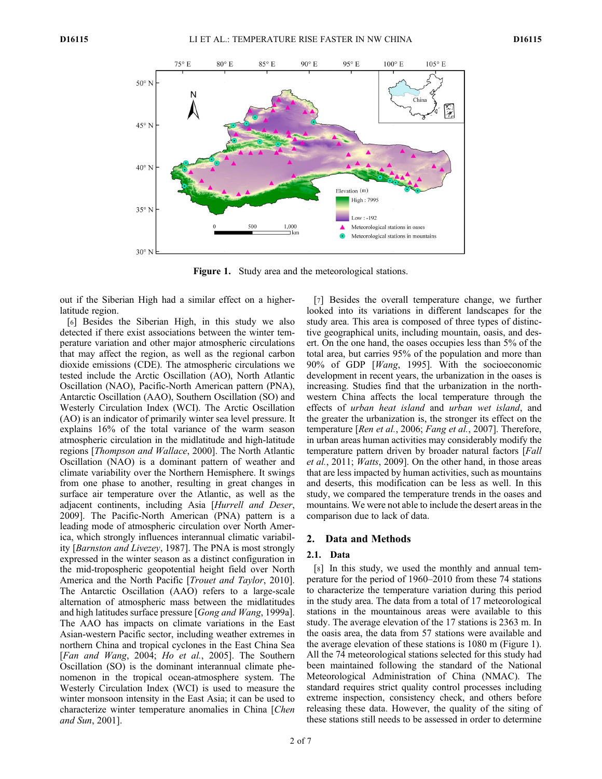

Figure 1. Study area and the meteorological stations.

out if the Siberian High had a similar effect on a higherlatitude region.

[6] Besides the Siberian High, in this study we also detected if there exist associations between the winter temperature variation and other major atmospheric circulations that may affect the region, as well as the regional carbon dioxide emissions (CDE). The atmospheric circulations we tested include the Arctic Oscillation (AO), North Atlantic Oscillation (NAO), Pacific-North American pattern (PNA), Antarctic Oscillation (AAO), Southern Oscillation (SO) and Westerly Circulation Index (WCI). The Arctic Oscillation (AO) is an indicator of primarily winter sea level pressure. It explains 16% of the total variance of the warm season atmospheric circulation in the midlatitude and high-latitude regions [Thompson and Wallace, 2000]. The North Atlantic Oscillation (NAO) is a dominant pattern of weather and climate variability over the Northern Hemisphere. It swings from one phase to another, resulting in great changes in surface air temperature over the Atlantic, as well as the adjacent continents, including Asia [Hurrell and Deser, 2009]. The Pacific-North American (PNA) pattern is a leading mode of atmospheric circulation over North America, which strongly influences interannual climatic variability [Barnston and Livezey, 1987]. The PNA is most strongly expressed in the winter season as a distinct configuration in the mid-tropospheric geopotential height field over North America and the North Pacific [Trouet and Taylor, 2010]. The Antarctic Oscillation (AAO) refers to a large-scale alternation of atmospheric mass between the midlatitudes and high latitudes surface pressure [Gong and Wang, 1999a]. The AAO has impacts on climate variations in the East Asian-western Pacific sector, including weather extremes in northern China and tropical cyclones in the East China Sea [Fan and Wang, 2004; Ho et al., 2005]. The Southern Oscillation (SO) is the dominant interannual climate phenomenon in the tropical ocean-atmosphere system. The Westerly Circulation Index (WCI) is used to measure the winter monsoon intensity in the East Asia; it can be used to characterize winter temperature anomalies in China [Chen and Sun, 2001].

[7] Besides the overall temperature change, we further looked into its variations in different landscapes for the study area. This area is composed of three types of distinctive geographical units, including mountain, oasis, and desert. On the one hand, the oases occupies less than 5% of the total area, but carries 95% of the population and more than 90% of GDP [Wang, 1995]. With the socioeconomic development in recent years, the urbanization in the oases is increasing. Studies find that the urbanization in the northwestern China affects the local temperature through the effects of urban heat island and urban wet island, and the greater the urbanization is, the stronger its effect on the temperature [Ren et al., 2006; Fang et al., 2007]. Therefore, in urban areas human activities may considerably modify the temperature pattern driven by broader natural factors [Fall et al., 2011; Watts, 2009]. On the other hand, in those areas that are less impacted by human activities, such as mountains and deserts, this modification can be less as well. In this study, we compared the temperature trends in the oases and mountains. We were not able to include the desert areas in the comparison due to lack of data.

# 2. Data and Methods

## 2.1. Data

[8] In this study, we used the monthly and annual temperature for the period of 1960–2010 from these 74 stations to characterize the temperature variation during this period in the study area. The data from a total of 17 meteorological stations in the mountainous areas were available to this study. The average elevation of the 17 stations is 2363 m. In the oasis area, the data from 57 stations were available and the average elevation of these stations is 1080 m (Figure 1). All the 74 meteorological stations selected for this study had been maintained following the standard of the National Meteorological Administration of China (NMAC). The standard requires strict quality control processes including extreme inspection, consistency check, and others before releasing these data. However, the quality of the siting of these stations still needs to be assessed in order to determine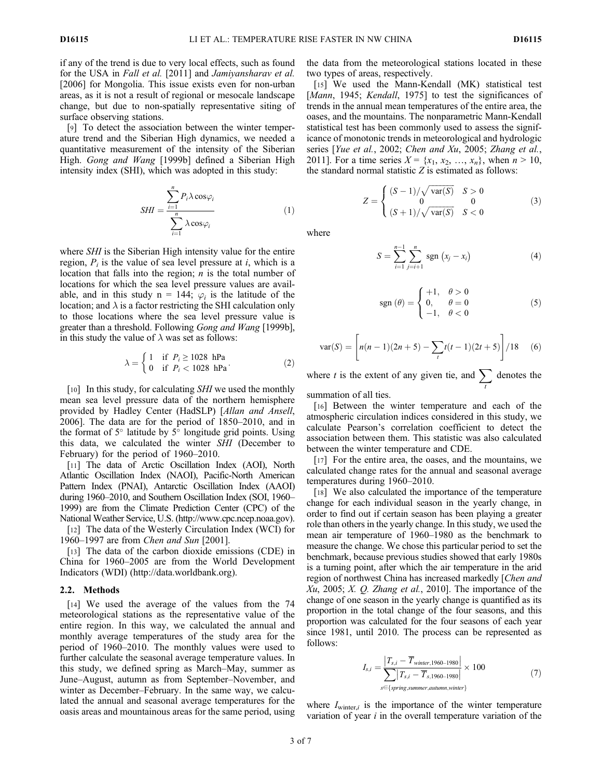if any of the trend is due to very local effects, such as found for the USA in Fall et al. [2011] and Jamiyansharav et al. [2006] for Mongolia. This issue exists even for non-urban areas, as it is not a result of regional or mesocale landscape change, but due to non-spatially representative siting of surface observing stations.

[9] To detect the association between the winter temperature trend and the Siberian High dynamics, we needed a quantitative measurement of the intensity of the Siberian High. Gong and Wang [1999b] defined a Siberian High intensity index (SHI), which was adopted in this study:

$$
SHI = \frac{\sum_{i=1}^{n} P_i \lambda \cos \varphi_i}{\sum_{i=1}^{n} \lambda \cos \varphi_i}
$$
 (1)

where *SHI* is the Siberian High intensity value for the entire region,  $P_i$  is the value of sea level pressure at i, which is a location that falls into the region;  $n$  is the total number of locations for which the sea level pressure values are available, and in this study  $n = 144$ ;  $\varphi_i$  is the latitude of the location; and  $\lambda$  is a factor restricting the SHI calculation only to those locations where the sea level pressure value is greater than a threshold. Following Gong and Wang [1999b], in this study the value of  $\lambda$  was set as follows:

$$
\lambda = \begin{cases} 1 & \text{if } P_i \ge 1028 \text{ hPa} \\ 0 & \text{if } P_i < 1028 \text{ hPa} \end{cases} \tag{2}
$$

[10] In this study, for calculating SHI we used the monthly mean sea level pressure data of the northern hemisphere provided by Hadley Center (HadSLP) [Allan and Ansell, 2006]. The data are for the period of 1850–2010, and in the format of  $5^\circ$  latitude by  $5^\circ$  longitude grid points. Using this data, we calculated the winter SHI (December to February) for the period of 1960–2010.

[11] The data of Arctic Oscillation Index (AOI), North Atlantic Oscillation Index (NAOI), Pacific-North American Pattern Index (PNAI), Antarctic Oscillation Index (AAOI) during 1960–2010, and Southern Oscillation Index (SOI, 1960– 1999) are from the Climate Prediction Center (CPC) of the National Weather Service, U.S. (http://www.cpc.ncep.noaa.gov).

[12] The data of the Westerly Circulation Index (WCI) for 1960–1997 are from Chen and Sun [2001].

[13] The data of the carbon dioxide emissions (CDE) in China for 1960–2005 are from the World Development Indicators (WDI) (http://data.worldbank.org).

# 2.2. Methods

[14] We used the average of the values from the 74 meteorological stations as the representative value of the entire region. In this way, we calculated the annual and monthly average temperatures of the study area for the period of 1960–2010. The monthly values were used to further calculate the seasonal average temperature values. In this study, we defined spring as March–May, summer as June–August, autumn as from September–November, and winter as December–February. In the same way, we calculated the annual and seasonal average temperatures for the oasis areas and mountainous areas for the same period, using the data from the meteorological stations located in these two types of areas, respectively.

[15] We used the Mann-Kendall (MK) statistical test [Mann, 1945; Kendall, 1975] to test the significances of trends in the annual mean temperatures of the entire area, the oases, and the mountains. The nonparametric Mann-Kendall statistical test has been commonly used to assess the significance of monotonic trends in meteorological and hydrologic series [Yue et al., 2002; Chen and Xu, 2005; Zhang et al., 2011]. For a time series  $X = \{x_1, x_2, ..., x_n\}$ , when  $n > 10$ , the standard normal statistic  $Z$  is estimated as follows:

$$
Z = \begin{cases} (S-1)/\sqrt{\text{var}(S)} & S > 0\\ 0 & 0\\ (S+1)/\sqrt{\text{var}(S)} & S < 0 \end{cases} \tag{3}
$$

where

$$
S = \sum_{i=1}^{n-1} \sum_{j=i+1}^{n} \text{sgn}(x_j - x_i)
$$
 (4)

$$
sgn(\theta) = \begin{cases} +1, & \theta > 0\\ 0, & \theta = 0\\ -1, & \theta < 0 \end{cases}
$$
 (5)

$$
var(S) = \left[ n(n-1)(2n+5) - \sum_{t} t(t-1)(2t+5) \right] / 18 \quad (6)
$$

where t is the extent of any given tie, and  $\sum$  denotes the

summation of all ties.

[16] Between the winter temperature and each of the atmospheric circulation indices considered in this study, we calculate Pearson's correlation coefficient to detect the association between them. This statistic was also calculated between the winter temperature and CDE.

[17] For the entire area, the oases, and the mountains, we calculated change rates for the annual and seasonal average temperatures during 1960–2010.

[18] We also calculated the importance of the temperature change for each individual season in the yearly change, in order to find out if certain season has been playing a greater role than others in the yearly change. In this study, we used the mean air temperature of 1960–1980 as the benchmark to measure the change. We chose this particular period to set the benchmark, because previous studies showed that early 1980s is a turning point, after which the air temperature in the arid region of northwest China has increased markedly [Chen and  $Xu$ , 2005;  $X$ .  $Q$ . Zhang et al., 2010]. The importance of the change of one season in the yearly change is quantified as its proportion in the total change of the four seasons, and this proportion was calculated for the four seasons of each year since 1981, until 2010. The process can be represented as follows:

$$
I_{s,i} = \frac{\left|T_{s,i} - \overline{T}_{winter, 1960-1980}\right|}{\sum\limits_{s \in \{spring, summer, automm, winter\}} \times 100} \times 100
$$
\n
$$
(7)
$$

where  $I_{\text{winter},i}$  is the importance of the winter temperature variation of year  $i$  in the overall temperature variation of the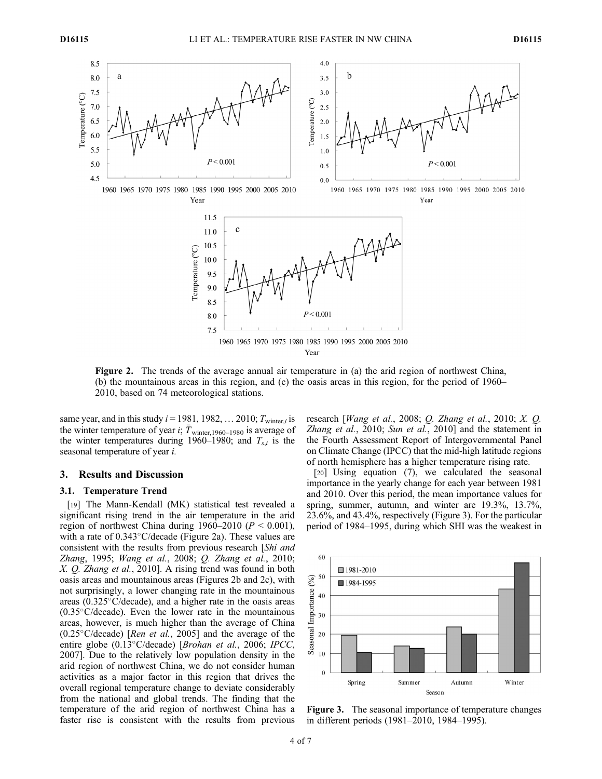

Figure 2. The trends of the average annual air temperature in (a) the arid region of northwest China, (b) the mountainous areas in this region, and (c) the oasis areas in this region, for the period of 1960– 2010, based on 74 meteorological stations.

same year, and in this study  $i = 1981, 1982, \ldots 2010$ ;  $T_{\text{winter},i}$  is the winter temperature of year i;  $T_{\text{winter},1960-1980}$  is average of the winter temperatures during 1960–1980; and  $T_{s,i}$  is the seasonal temperature of year i.

#### 3. Results and Discussion

# 3.1. Temperature Trend

[19] The Mann-Kendall (MK) statistical test revealed a significant rising trend in the air temperature in the arid region of northwest China during  $1960-2010$  ( $P < 0.001$ ), with a rate of  $0.343^{\circ}$ C/decade (Figure 2a). These values are consistent with the results from previous research [Shi and Zhang, 1995; Wang et al., 2008; Q. Zhang et al., 2010; X. Q. Zhang et al., 2010]. A rising trend was found in both oasis areas and mountainous areas (Figures 2b and 2c), with not surprisingly, a lower changing rate in the mountainous areas  $(0.325\degree C/\text{decade})$ , and a higher rate in the oasis areas  $(0.35^{\circ}C/\text{decade})$ . Even the lower rate in the mountainous areas, however, is much higher than the average of China  $(0.25^{\circ} \text{C}/\text{decade})$  [*Ren et al.*, 2005] and the average of the entire globe (0.13°C/decade) [Brohan et al., 2006; IPCC, 2007]. Due to the relatively low population density in the arid region of northwest China, we do not consider human activities as a major factor in this region that drives the overall regional temperature change to deviate considerably from the national and global trends. The finding that the temperature of the arid region of northwest China has a faster rise is consistent with the results from previous research [Wang et al., 2008;  $Q$ . Zhang et al., 2010;  $X$ .  $Q$ . Zhang et al., 2010; Sun et al., 2010] and the statement in the Fourth Assessment Report of Intergovernmental Panel on Climate Change (IPCC) that the mid-high latitude regions of north hemisphere has a higher temperature rising rate.

[20] Using equation (7), we calculated the seasonal importance in the yearly change for each year between 1981 and 2010. Over this period, the mean importance values for spring, summer, autumn, and winter are 19.3%, 13.7%, 23.6%, and 43.4%, respectively (Figure 3). For the particular period of 1984–1995, during which SHI was the weakest in



Figure 3. The seasonal importance of temperature changes in different periods (1981–2010, 1984–1995).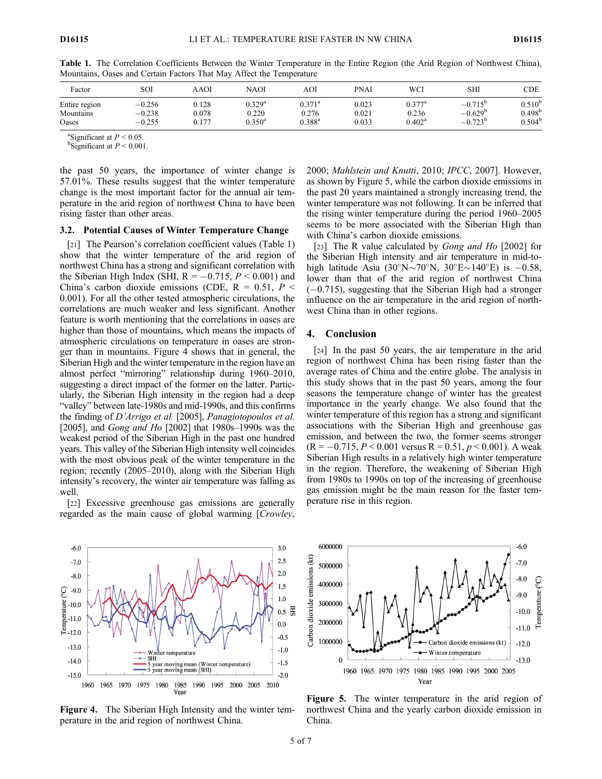| Factor        | SOI      | AAOI  | NAOI            | AOI                  | <b>PNAI</b> | WCI             | SHI              | CDE             |
|---------------|----------|-------|-----------------|----------------------|-------------|-----------------|------------------|-----------------|
| Entire region | $-0.256$ | 0.128 | $0.329^{\rm a}$ | $0.371^{\rm a}$      | 0.023       | $0.377$ ª       | $-0.715^{\circ}$ | $0.510^{\circ}$ |
| Mountains     | $-0.238$ | 0.078 | 0.220           | 0.276                | 0.021       | 0.236           | $-0.629^{\circ}$ | $0.498^{\circ}$ |
| Oases         | $-0.255$ | 0.177 | $0.350^{\rm a}$ | $0.388$ <sup>a</sup> | 0.033       | $0.402^{\rm a}$ | $-0.723^{\circ}$ | $0.504^b$       |

Table 1. The Correlation Coefficients Between the Winter Temperature in the Entire Region (the Arid Region of Northwest China), Mountains, Oases and Certain Factors That May Affect the Temperature

<sup>a</sup>Significant at  $P < 0.05$ .

 $b$ Significant at  $P < 0.001$ .

the past 50 years, the importance of winter change is 57.01%. These results suggest that the winter temperature change is the most important factor for the annual air temperature in the arid region of northwest China to have been rising faster than other areas.

# 3.2. Potential Causes of Winter Temperature Change

[21] The Pearson's correlation coefficient values (Table 1) show that the winter temperature of the arid region of northwest China has a strong and significant correlation with the Siberian High Index (SHI,  $R = -0.715$ ,  $P \le 0.001$ ) and China's carbon dioxide emissions (CDE,  $R = 0.51$ ,  $P \leq$ 0.001). For all the other tested atmospheric circulations, the correlations are much weaker and less significant. Another feature is worth mentioning that the correlations in oases are higher than those of mountains, which means the impacts of atmospheric circulations on temperature in oases are stronger than in mountains. Figure 4 shows that in general, the Siberian High and the winter temperature in the region have an almost perfect "mirroring" relationship during 1960–2010, suggesting a direct impact of the former on the latter. Particularly, the Siberian High intensity in the region had a deep "valley" between late-1980s and mid-1990s, and this confirms the finding of D'Arrigo et al. [2005], Panagiotopoulos et al. [2005], and *Gong and Ho* [2002] that  $1980s-1990s$  was the weakest period of the Siberian High in the past one hundred years. This valley of the Siberian High intensity well coincides with the most obvious peak of the winter temperature in the region; recently (2005–2010), along with the Siberian High intensity's recovery, the winter air temperature was falling as well.

[22] Excessive greenhouse gas emissions are generally regarded as the main cause of global warming [Crowley,

 $3.0$  $-6.0$  $2.5$  $-7.0$  $2.0$  $-8.0$  $1.5$  $\widetilde{C}$  $-9.0$  $1.0$  $\sum_{r=12.0}^{\infty}$  = 10.0 EБ  $0.5$  $0.0$  $-0.5$  $-13.0$  $-1.0$ temperature **SHI**  $-14.0$  $-1.5$ noving mean (Winter temperature)  $5 \text{ year moving mean}$  (SHI)  $-15.0$  $-2.0$ 1960 1965 1970 1975 1980 1985 1990 1995 2000 2005 2010

Figure 4. The Siberian High Intensity and the winter temperature in the arid region of northwest China.

Year

2000; Mahlstein and Knutti, 2010; IPCC, 2007]. However, as shown by Figure 5, while the carbon dioxide emissions in the past 20 years maintained a strongly increasing trend, the winter temperature was not following. It can be inferred that the rising winter temperature during the period 1960–2005 seems to be more associated with the Siberian High than with China's carbon dioxide emissions.

[23] The R value calculated by *Gong and Ho* [2002] for the Siberian High intensity and air temperature in mid-tohigh latitude Asia (30°N $\sim$ 70°N, 30°E $\sim$ 140°E) is -0.58, lower than that of the arid region of northwest China  $(-0.715)$ , suggesting that the Siberian High had a stronger influence on the air temperature in the arid region of northwest China than in other regions.

## 4. Conclusion

[24] In the past 50 years, the air temperature in the arid region of northwest China has been rising faster than the average rates of China and the entire globe. The analysis in this study shows that in the past 50 years, among the four seasons the temperature change of winter has the greatest importance in the yearly change. We also found that the winter temperature of this region has a strong and significant associations with the Siberian High and greenhouse gas emission, and between the two, the former seems stronger  $(R = -0.715, P \le 0.001$  versus  $R = 0.51, p \le 0.001$ ). A weak Siberian High results in a relatively high winter temperature in the region. Therefore, the weakening of Siberian High from 1980s to 1990s on top of the increasing of greenhouse gas emission might be the main reason for the faster temperature rise in this region.



Figure 5. The winter temperature in the arid region of northwest China and the yearly carbon dioxide emission in China.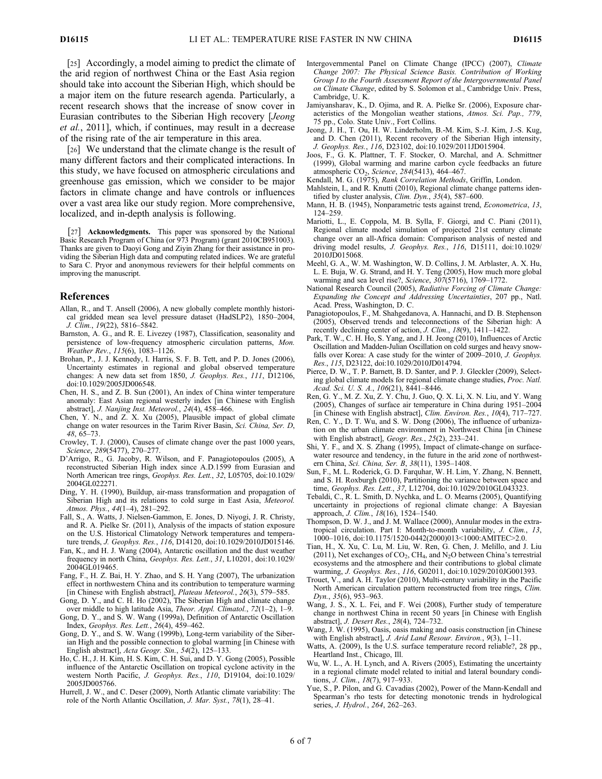[25] Accordingly, a model aiming to predict the climate of the arid region of northwest China or the East Asia region should take into account the Siberian High, which should be a major item on the future research agenda. Particularly, a recent research shows that the increase of snow cover in Eurasian contributes to the Siberian High recovery [Jeong et al., 2011], which, if continues, may result in a decrease of the rising rate of the air temperature in this area.

[26] We understand that the climate change is the result of many different factors and their complicated interactions. In this study, we have focused on atmospheric circulations and greenhouse gas emission, which we consider to be major factors in climate change and have controls or influences over a vast area like our study region. More comprehensive, localized, and in-depth analysis is following.

[27] Acknowledgments. This paper was sponsored by the National Basic Research Program of China (or 973 Program) (grant 2010CB951003). Thanks are given to Daoyi Gong and Ziyin Zhang for their assistance in providing the Siberian High data and computing related indices. We are grateful to Sara C. Pryor and anonymous reviewers for their helpful comments on improving the manuscript.

## References

- Allan, R., and T. Ansell (2006), A new globally complete monthly historical gridded mean sea level pressure dataset (HadSLP2), 1850–2004, J. Clim., 19(22), 5816–5842.
- Barnston, A. G., and R. E. Livezey (1987), Classification, seasonality and persistence of low-frequency atmospheric circulation patterns, Mon. Weather Rev., 115(6), 1083–1126.
- Brohan, P., J. J. Kennedy, I. Harris, S. F. B. Tett, and P. D. Jones (2006), Uncertainty estimates in regional and global observed temperature changes: A new data set from 1850, J. Geophys. Res., 111, D12106, doi:10.1029/2005JD006548.
- Chen, H. S., and Z. B. Sun (2001), An index of China winter temperature anomaly: East Asian regional westerly index [in Chinese with English abstract], J. Nanjing Inst. Meteorol., 24(4), 458–466.
- Chen, Y. N., and Z. X. Xu (2005), Plausible impact of global climate change on water resources in the Tarim River Basin, Sci. China, Ser. D, 48, 65–73.
- Crowley, T. J. (2000), Causes of climate change over the past 1000 years, Science, 289(5477), 270–277.
- D'Arrigo, R., G. Jacoby, R. Wilson, and F. Panagiotopoulos (2005), A reconstructed Siberian High index since A.D.1599 from Eurasian and North American tree rings, Geophys. Res. Lett., 32, L05705, doi:10.1029/ 2004GL022271.
- Ding, Y. H. (1990), Buildup, air-mass transformation and propagation of Siberian High and its relations to cold surge in East Asia, Meteorol. Atmos. Phys., 44(1–4), 281–292.
- Fall, S., A. Watts, J. Nielsen-Gammon, E. Jones, D. Niyogi, J. R. Christy, and R. A. Pielke Sr. (2011), Analysis of the impacts of station exposure on the U.S. Historical Climatology Network temperatures and temperature trends, J. Geophys. Res., 116, D14120, doi:10.1029/2010JD015146.
- Fan, K., and H. J. Wang (2004), Antarctic oscillation and the dust weather frequency in north China, Geophys. Res. Lett., 31, L10201, doi:10.1029/ 2004GL019465.
- Fang, F., H. Z. Bai, H. Y. Zhao, and S. H. Yang (2007), The urbanization effect in northwestern China and its contribution to temperature warming [in Chinese with English abstract], Plateau Meteorol., 26(3), 579–585.
- Gong, D. Y., and C. H. Ho (2002), The Siberian High and climate change over middle to high latitude Asia, Theor. Appl. Climatol., 72(1–2), 1–9.
- Gong, D. Y., and S. W. Wang (1999a), Definition of Antarctic Oscillation Index, Geophys. Res. Lett., 26(4), 459–462.
- Gong, D. Y., and S. W. Wang (1999b), Long-term variability of the Siberian High and the possible connection to global warming [in Chinese with English abstract], Acta Geogr. Sin., 54(2), 125–133.
- Ho, C. H., J. H. Kim, H. S. Kim, C. H. Sui, and D. Y. Gong (2005), Possible influence of the Antarctic Oscillation on tropical cyclone activity in the western North Pacific, J. Geophys. Res., 110, D19104, doi:10.1029/ 2005JD005766.
- Hurrell, J. W., and C. Deser (2009), North Atlantic climate variability: The role of the North Atlantic Oscillation, J. Mar. Syst., 78(1), 28–41.
- Intergovernmental Panel on Climate Change (IPCC) (2007), Climate Change 2007: The Physical Science Basis. Contribution of Working Group I to the Fourth Assessment Report of the Intergovernmental Panel on Climate Change, edited by S. Solomon et al., Cambridge Univ. Press, Cambridge, U. K.
- Jamiyansharav, K., D. Ojima, and R. A. Pielke Sr. (2006), Exposure characteristics of the Mongolian weather stations, Atmos. Sci. Pap., 779, 75 pp., Colo. State Univ., Fort Collins.
- Jeong, J. H., T. Ou, H. W. Linderholm, B.-M. Kim, S.-J. Kim, J.-S. Kug, and D. Chen (2011), Recent recovery of the Siberian High intensity, J. Geophys. Res., 116, D23102, doi:10.1029/2011JD015904.
- Joos, F., G. K. Plattner, T. F. Stocker, O. Marchal, and A. Schmittner (1999), Global warming and marine carbon cycle feedbacks an future atmospheric CO2, Science, 284(5413), 464–467.
- Kendall, M. G. (1975), Rank Correlation Methods, Griffin, London.
- Mahlstein, I., and R. Knutti (2010), Regional climate change patterns identified by cluster analysis, *Clim. Dyn.*, 35(4), 587-600.
- Mann, H. B. (1945), Nonparametric tests against trend, Econometrica, 13, 124–259.
- Mariotti, L., E. Coppola, M. B. Sylla, F. Giorgi, and C. Piani (2011), Regional climate model simulation of projected 21st century climate change over an all-Africa domain: Comparison analysis of nested and driving model results, J. Geophys. Res., 116, D15111, doi:10.1029/ 2010JD015068.
- Meehl, G. A., W. M. Washington, W. D. Collins, J. M. Arblaster, A. X. Hu, L. E. Buja, W. G. Strand, and H. Y. Teng (2005), How much more global warming and sea level rise?, Science,  $307(5716)$ , 1769–1772.
- National Research Council (2005), Radiative Forcing of Climate Change: Expanding the Concept and Addressing Uncertainties, 207 pp., Natl. Acad. Press, Washington, D. C.
- Panagiotopoulos, F., M. Shahgedanova, A. Hannachi, and D. B. Stephenson (2005), Observed trends and teleconnections of the Siberian high: A recently declining center of action, J. Clim., 18(9), 1411–1422.
- Park, T. W., C. H. Ho, S. Yang, and J. H. Jeong (2010), Influences of Arctic Oscillation and Madden-Julian Oscillation on cold surges and heavy snowfalls over Korea: A case study for the winter of 2009–2010, J. Geophys. Res., 115, D23122, doi:10.1029/2010JD014794.
- Pierce, D. W., T. P. Barnett, B. D. Santer, and P. J. Gleckler (2009), Selecting global climate models for regional climate change studies, Proc. Natl. Acad. Sci. U. S. A., 106(21), 8441–8446.
- Ren, G. Y., M. Z. Xu, Z. Y. Chu, J. Guo, Q. X. Li, X. N. Liu, and Y. Wang (2005), Changes of surface air temperature in China during 1951–2004 [in Chinese with English abstract], Clim. Environ. Res., 10(4), 717–727.
- Ren, C. Y., D. T. Wu, and S. W. Dong (2006), The influence of urbanization on the urban climate environment in Northwest China [in Chinese with English abstract], Geogr. Res., 25(2), 233–241.
- Shi, Y. F., and X. S. Zhang (1995), Impact of climate-change on surfacewater resource and tendency, in the future in the arid zone of northwestern China, Sci. China, Ser. B, 38(11), 1395–1408.
- Sun, F., M. L. Roderick, G. D. Farquhar, W. H. Lim, Y. Zhang, N. Bennett, and S. H. Roxburgh (2010), Partitioning the variance between space and time, Geophys. Res. Lett., 37, L12704, doi:10.1029/2010GL043323.
- Tebaldi, C., R. L. Smith, D. Nychka, and L. O. Mearns (2005), Quantifying uncertainty in projections of regional climate change: A Bayesian approach, J. Clim., 18(16), 1524–1540.
- Thompson, D. W. J., and J. M. Wallace (2000), Annular modes in the extratropical circulation. Part I: Month-to-month variability, J. Clim., 13, 1000–1016, doi:10.1175/1520-0442(2000)013<1000:AMITEC>2.0.
- Tian, H., X. Xu, C. Lu, M. Liu, W. Ren, G. Chen, J. Melillo, and J. Liu (2011), Net exchanges of  $CO<sub>2</sub>$ , CH<sub>4</sub>, and N<sub>2</sub>O between China's terrestrial ecosystems and the atmosphere and their contributions to global climate warming, J. Geophys. Res., 116, G02011, doi:10.1029/2010JG001393.
- Trouet, V., and A. H. Taylor (2010), Multi-century variability in the Pacific North American circulation pattern reconstructed from tree rings, Clim. Dyn., 35(6), 953–963.
- Wang, J. S., X. L. Fei, and F. Wei (2008), Further study of temperature change in northwest China in recent 50 years [in Chinese with English abstract], J. Desert Res., 28(4), 724–732.
- Wang, J. W. (1995), Oasis, oasis making and oasis construction [in Chinese with English abstract], J. Arid Land Resour. Environ., 9(3), 1-11.
- Watts, A. (2009), Is the U.S. surface temperature record reliable?, 28 pp., Heartland Inst., Chicago, Ill.
- Wu, W. L., A. H. Lynch, and A. Rivers (2005), Estimating the uncertainty in a regional climate model related to initial and lateral boundary conditions, J. Clim., 18(7), 917–933.
- Yue, S., P. Pilon, and G. Cavadias (2002), Power of the Mann-Kendall and Spearman's rho tests for detecting monotonic trends in hydrological series, J. Hydrol., 264, 262–263.